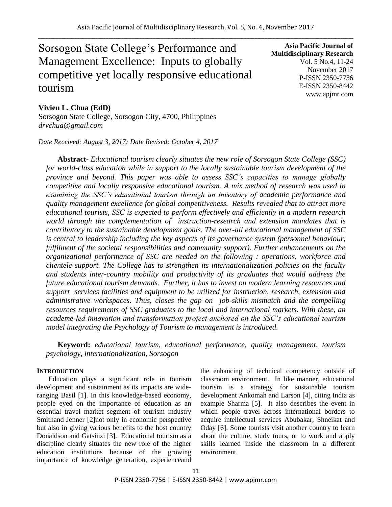# Sorsogon State College's Performance and Management Excellence: Inputs to globally competitive yet locally responsive educational tourism

**Asia Pacific Journal of Multidisciplinary Research** Vol. 5 No.4, 11-24 November 2017 P-ISSN 2350-7756 E-ISSN 2350-8442 www.apjmr.com

# **Vivien L. Chua (EdD)**

Sorsogon State College, Sorsogon City, 4700, Philippines *drvchua@gmail.com*

*Date Received: August 3, 2017; Date Revised: October 4, 2017*

**Abstract-** *Educational tourism clearly situates the new role of Sorsogon State College (SSC) for world-class education while in support to the locally sustainable tourism development of the province and beyond. This paper was able to assess SSC's capacities to manage globally competitive and locally responsive educational tourism. A mix method of research was used in examining the SSC's educational tourism through an inventory of academic performance and quality management excellence for global competitiveness. Results revealed that to attract more educational tourists, SSC is expected to perform effectively and efficiently in a modern research world through the complementation of instruction-research and extension mandates that is contributory to the sustainable development goals. The over-all educational management of SSC is central to leadership including the key aspects of its governance system (personnel behaviour, fulfilment of the societal responsibilities and community support). Further enhancements on the organizational performance of SSC are needed on the following : operations, workforce and clientele support. The College has to strengthen its internationalization policies on the faculty and students inter-country mobility and productivity of its graduates that would address the future educational tourism demands. Further, it has to invest on modern learning resources and support services facilities and equipment to be utilized for instruction, research, extension and administrative workspaces. Thus, closes the gap on job-skills mismatch and the compelling resources requirements of SSC graduates to the local and international markets. With these, an academe-led innovation and transformation project anchored on the SSC's educational tourism model integrating the Psychology of Tourism to management is introduced.* 

**Keyword:** *educational tourism, educational performance, quality management, tourism psychology, internationalization, Sorsogon*

# **INTRODUCTION**

Education plays a significant role in tourism development and sustainment as its impacts are wideranging Basil [1]. In this knowledge-based economy, people eyed on the importance of education as an essential travel market segment of tourism industry Smithand Jenner [2]not only in economic perspective but also in giving various benefits to the host country Donaldson and Gatsinzi [3]. Educational tourism as a discipline clearly situates the new role of the higher education institutions because of the growing importance of knowledge generation, experienceand

the enhancing of technical competency outside of classroom environment. In like manner, educational tourism is a strategy for sustainable tourism development Ankomah and Larson [4], citing India as example Sharma [5]. It also describes the event in which people travel across international borders to acquire intellectual services Abubakar, Shneikat and Oday [6]. Some tourists visit another country to learn about the culture, study tours, or to work and apply skills learned inside the classroom in a different environment.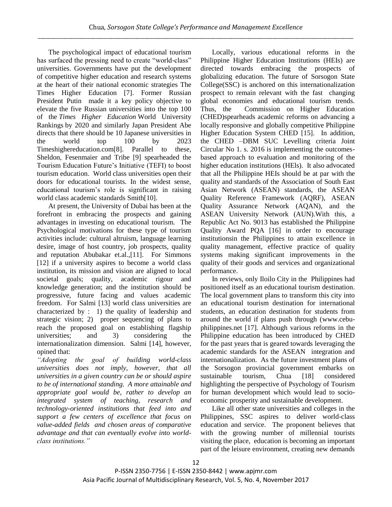The psychological impact of educational tourism has surfaced the pressing need to create "world-class" universities. Governments have put the development of competitive higher education and research systems at the heart of their national economic strategies The Times Higher Education [7]. Former Russian President Putin made it a key policy objective to elevate the five Russian universities into the top 100 of the *[Times Higher Education](http://www.timeshighereducation.co.uk/world-university-rankings/2013-14/world-ranking)* World University [Rankings](http://www.timeshighereducation.co.uk/world-university-rankings/2013-14/world-ranking) by 2020 and similarly Japan President Abe directs that there should be 10 Japanese universities in the world top 100 by 2023 Timeshighereducation.com[8]. Parallel to these, Sheldon, Fesenmaier and Tribe [9] spearheaded the Tourism Education Future's Initiative (TEFI) to boost tourism education. World class universities open their doors for educational tourists. In the widest sense, educational tourism's role is significant in raising world class academic standards Smith[10].

At present, the University of Dubai has been at the forefront in embracing the prospects and gaining advantages in investing on educational tourism. The Psychological motivations for these type of tourism activities include: cultural altruism, language learning desire, image of host country, job prospects, quality and reputation Abubakar et.al.,[11]. For Simmons [12] if a university aspires to become a world class institution, its mission and vision are aligned to local societal goals; quality, academic rigour and knowledge generation; and the institution should be progressive, future facing and values academic freedom. For Salmi [13] world class universities are characterized by : 1) the quality of leadership and strategic vision; 2) proper sequencing of plans to reach the proposed goal on establishing flagship universities; and 3) considering the internationalization dimension. Salmi [14], however, opined that:

*"Adopting the goal of building world-class universities does not imply, however, that all universities in a given country can be or should aspire to be of international standing. A more attainable and appropriate goal would be, rather to develop an integrated system of teaching, research and technology-oriented institutions that feed into and support a few centers of excellence that focus on value-added fields and chosen areas of comparative advantage and that can eventually evolve into worldclass institutions."*

Locally, various educational reforms in the Philippine Higher Education Institutions (HEIs) are directed towards embracing the prospects of globalizing education. The future of Sorsogon State College(SSC) is anchored on this internationalization prospect to remain relevant with the fast changing global economies and educational tourism trends. Thus, the Commission on Higher Education (CHED)spearheads academic reforms on advancing a locally responsive and globally competitive Philippine Higher Education System CHED [15]. In addition, the CHED –DBM SUC Levelling criteria Joint Circular No 1. s. 2016 is implementing the outcomesbased approach to evaluation and monitoring of the higher education institutions (HEls). It also advocated that all the Philippine HEIs should be at par with the quality and standards of the Association of South East Asian Network (ASEAN) standards, the ASEAN Quality Reference Framework (AQRF), ASEAN Quality Assurance Network (AQAN), and the ASEAN University Network (AUN).With this, a Republic Act No. 9013 has established the Philippine Quality Award PQA [16] in order to encourage institutionsin the Philippines to attain excellence in quality management, effective practice of quality systems making significant improvements in the quality of their goods and services and organizational performance.

In reviews, only Iloilo City in the Philippines had positioned itself as an educational tourism destination. The local government plans to transform this city into an educational tourism destination for international students, an education destination for students from around the world if plans push through (www.cebuphilippines.net [17]. Although various reforms in the Philippine education has been introduced by CHED for the past years that is geared towards leveraging the academic standards for the ASEAN integration and internationalization. As the future investment plans of the Sorsogon provincial government embarks on sustainable tourism, Chua [18] considered highlighting the perspective of Psychology of Tourism for human development which would lead to socioeconomic prosperity and sustainable development.

Like all other state universities and colleges in the Philippines, SSC aspires to deliver world-class education and service. The proponent believes that with the growing number of millennial tourists visiting the place, education is becoming an important part of the leisure environment, creating new demands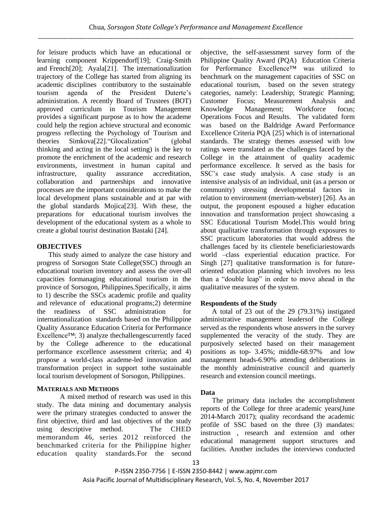for leisure products which have an educational or learning component Krippendorf[19]; Craig-Smith and French[20]; Ayala[21]. The internationalization trajectory of the College has started from aligning its academic disciplines contributory to the sustainable tourism agenda of the President Duterte's administration. A recently Board of Trustees (BOT) approved curriculum in Tourism Management provides a significant purpose as to how the academe could help the region achieve structural and economic progress reflecting the Psychology of Tourism and theories Simkova[22]."Glocalization" (global thinking and acting in the local setting) is the key to promote the enrichment of the academic and research environments, investment in human capital and infrastructure, quality assurance accreditation, collaboration and partnerships and innovative processes are the important considerations to make the local development plans sustainable and at par with the global standards Mojica[23]. With these, the preparations for educational tourism involves the development of the educational system as a whole to create a global tourist destination Bastaki [24].

# **OBJECTIVES**

This study aimed to analyze the case history and progress of Sorsogon State College(SSC) through an educational tourism inventory and assess the over-all capacities formanaging educational tourism in the province of Sorsogon, Philippines.Specifically, it aims to 1) describe the SSCs academic profile and quality and relevance of educational programs;2) determine the readiness of SSC administration for internationalization standards based on the Philippine Quality Assurance Education Criteria for Performance Excellence™; 3) analyze thechallengescurrently faced by the College adherence to the educational performance excellence assessment criteria; and 4) propose a world-class academe-led innovation and transformation project in support tothe sustainable local tourism development of Sorsogon, Philippines.

# **MATERIALS AND METHODS**

A mixed method of research was used in this study. The data mining and documentary analysis were the primary strategies conducted to answer the first objective, third and last objectives of the study using descriptive method. The CHED memorandum 46, series 2012 reinforced the benchmarked criteria for the Philippine higher education quality standards.For the second objective, the self-assessment survey form of the Philippine Quality Award (PQA) Education Criteria for Performance Excellence™ was utilized to benchmark on the management capacities of SSC on educational tourism, based on the seven strategy categories, namely: Leadership; Strategic Planning; Customer Focus; Measurement Analysis and Knowledge Management; Workforce focus; Operations Focus and Results. The validated form was based on the Baldridge Award Performance Excellence Criteria PQA [25] which is of international standards. The strategy themes assessed with low ratings were translated as the challenges faced by the College in the attainment of quality academic performance excellence. It served as the basis for SSC's case study analysis. A case study is an intensive analysis of an individual, unit (as a person or community) stressing developmental factors in relation to environment (merriam-webster) [26]. As an output, the proponent espoused a higher education innovation and transformation project showcasing a SSC Educational Tourism Model.This would bring about qualitative transformation through exposures to SSC practicum laboratories that would address the challenges faced by its clientele beneficiariestowards world –class experiential education practice. For Singh [27] qualitative transformation is for futureoriented education planning which involves no less than a "double leap" in order to move ahead in the qualitative measures of the system.

# **Respondents of the Study**

A total of 23 out of the 29 (79.31%) instigated administrative management leadersof the College served as the respondents whose answers in the survey supplemented the veracity of the study. They are purposively selected based on their management positions as top- 3.45%; middle-68.97% and low management heads-6.90% attending deliberations in the monthly administrative council and quarterly research and extension council meetings.

# **Data**

The primary data includes the accomplishment reports of the College for three academic years(June 2014-March 2017); quality recordsand the academic profile of SSC based on the three (3) mandates: instruction , research and extension and other educational management support structures and facilities. Another includes the interviews conducted

P-ISSN 2350-7756 | E-ISSN 2350-8442 | www.apjmr.com Asia Pacific Journal of Multidisciplinary Research, Vol. 5, No. 4, November 2017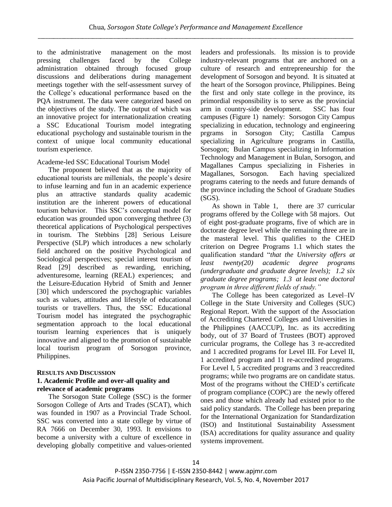to the administrative management on the most pressing challenges faced by the College administration obtained through focused group discussions and deliberations during management meetings together with the self-assessment survey of the College's educational performance based on the PQA instrument. The data were categorized based on the objectives of the study. The output of which was an innovative project for internationalization creating a SSC Educational Tourism model integrating educational psychology and sustainable tourism in the context of unique local community educational tourism experience.

# Academe-led SSC Educational Tourism Model

The proponent believed that as the majority of educational tourists are millenials, the people's desire to infuse learning and fun in an academic experience plus an attractive standards quality academic institution are the inherent powers of educational tourism behavior. This SSC's conceptual model for education was grounded upon converging thethree (3) theoretical applications of Psychological perspectives in tourism. The Stebbins [28] Serious Leisure Perspective (SLP) which introduces a new scholarly field anchored on the positive Psychological and Sociological perspectives; special interest tourism of Read [29] described as rewarding, enriching, adventuresome, learning (REAL) experiences; and the Leisure-Education Hybrid of Smith and Jenner [30] which underscored the psychographic variables such as values, attitudes and lifestyle of educational tourists or travellers. Thus, the SSC Educational Tourism model has integrated the psychographic segmentation approach to the local educational tourism learning experiences that is uniquely innovative and aligned to the promotion of sustainable local tourism program of Sorsogon province, Philippines.

## **RESULTS AND DISCUSSION 1. Academic Profile and over-all quality and relevance of academic programs**

The Sorsogon State College (SSC) is the former Sorsogon College of Arts and Trades (SCAT), which was founded in 1907 as a Provincial Trade School. SSC was converted into a state college by virtue of RA 7666 on December 30, 1993. It envisions to become a university with a culture of excellence in developing globally competitive and values-oriented leaders and professionals. Its mission is to provide industry-relevant programs that are anchored on a culture of research and entrepreneurship for the development of Sorsogon and beyond. It is situated at the heart of the Sorsogon province, Philippines. Being the first and only state college in the province, its primordial responsibility is to serve as the provincial arm in country-side development. SSC has four campuses (Figure 1) namely: Sorsogon City Campus specializing in education, technology and engineering prgrams in Sorsogon City; Castilla Campus specializing in Agriculture programs in Castilla, Sorsogon; Bulan Campus specializing in Information Technology and Management in Bulan, Sorsogon, and Magallanes Campus specializing in Fisheries in Magallanes, Sorsogon. Each having specialized programs catering to the needs and future demands of the province including the School of Graduate Studies (SGS).

As shown in Table 1, there are 37 curricular programs offered by the College with 58 majors. Out of eight post-graduate programs, five of which are in doctorate degree level while the remaining three are in the masteral level. This qualifies to the CHED criterion on Degree Programs 1.1 which states the qualification standard "*that the University offers at least twenty(20) academic degree programs (undergraduate and graduate degree levels); 1.2 six graduate degree programs; 1.3 at least one doctoral program in three different fields of study."*

The College has been categorized as Level–IV College in the State University and Colleges (SUC) Regional Report. With the support of the Association of Accrediting Chartered Colleges and Universities in the Philippines (AACCUP), Inc. as its accrediting body, out of 37 Board of Trustees (BOT) approved curricular programs, the College has 3 re-accredited and 1 accredited programs for Level III. For Level II, 1 accredited program and 11 re-accredited programs. For Level I, 5 accredited programs and 3 reaccredited programs; while two programs are on candidate status. Most of the programs without the CHED's certificate of program compliance (COPC) are the newly offered ones and those which already had existed prior to the said policy standards. The College has been preparing for the International Organization for Standardization (ISO) and Institutional Sustainability Assessment (ISA) accreditations for quality assurance and quality systems improvement.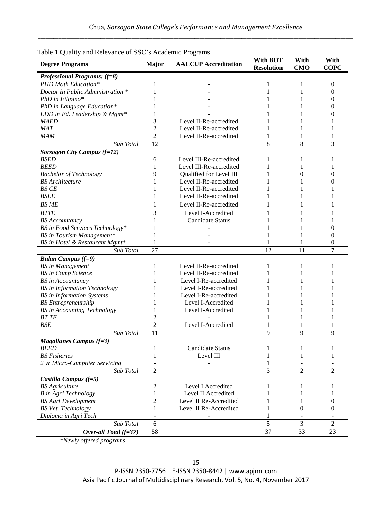| radio 1.Quality and Kelevance of BBC 37 Readenne 1 rograms<br><b>Degree Programs</b> | <b>Major</b>   | <b>AACCUP</b> Accreditation | <b>With BOT</b><br><b>Resolution</b> | With<br><b>CMO</b> | With<br><b>COPC</b> |
|--------------------------------------------------------------------------------------|----------------|-----------------------------|--------------------------------------|--------------------|---------------------|
| <b>Professional Programs:</b> (f=8)                                                  |                |                             |                                      |                    |                     |
| PHD Math Education*                                                                  | 1              |                             | 1                                    | 1                  | $\theta$            |
| Doctor in Public Administration *                                                    |                |                             |                                      | 1                  | $\theta$            |
| PhD in Filipino*                                                                     |                |                             |                                      | 1                  | 0                   |
| PhD in Language Education*                                                           |                |                             |                                      | 1                  | 0                   |
| EDD in Ed. Leadership & Mgmt*                                                        |                |                             |                                      | 1                  |                     |
| <b>MAED</b>                                                                          | 3              | Level II-Re-accredited      |                                      |                    |                     |
| <b>MAT</b>                                                                           | $\overline{c}$ | Level II-Re-accredited      |                                      |                    |                     |
| <b>MAM</b>                                                                           | 2              | Level II-Re-accredited      |                                      |                    |                     |
| Sub Total                                                                            | 12             |                             | 8                                    | 8                  | 3                   |
|                                                                                      |                |                             |                                      |                    |                     |
| <b>Sorsogon City Campus (f=12)</b>                                                   |                |                             |                                      |                    |                     |
| <b>BSED</b>                                                                          | 6              | Level III-Re-accredited     | 1                                    | 1                  | 1                   |
| <b>BEED</b>                                                                          | 1              | Level III-Re-accredited     |                                      |                    |                     |
| <b>Bachelor of Technology</b>                                                        | 9              | Qualified for Level III     |                                      | 0                  | $\Omega$            |
| <b>BS</b> Architecture                                                               |                | Level II-Re-accredited      |                                      |                    | 0                   |
| <b>BS CE</b>                                                                         |                | Level II-Re-accredited      |                                      | 1                  |                     |
| <b>BSEE</b>                                                                          |                | Level II-Re-accredited      |                                      | 1                  |                     |
| <b>BS ME</b>                                                                         |                | Level II-Re-accredited      |                                      | 1                  |                     |
| <b>BTTE</b>                                                                          | 3              | Level I-Accredited          |                                      | 1                  |                     |
| <b>BS</b> Accountancy                                                                |                | Candidate Status            |                                      |                    |                     |
| BS in Food Services Technology*                                                      |                |                             |                                      |                    | $\theta$            |
| BS in Tourism Management*                                                            | 1              |                             |                                      |                    | $\theta$            |
| BS in Hotel & Restaurant Mgmt*                                                       | 1              |                             |                                      | 1                  | $\Omega$            |
| Sub Total                                                                            | 27             |                             | 12                                   | 11                 | 7                   |
| <b>Bulan Campus (f=9)</b>                                                            |                |                             |                                      |                    |                     |
| <b>BS</b> in Management                                                              | 1              | Level II-Re-accredited      | 1                                    | 1                  |                     |
| <b>BS</b> in Comp Science                                                            |                | Level II-Re-accredited      | 1                                    | 1                  |                     |
| <b>BS</b> in Accountancy                                                             |                | Level I-Re-accredited       |                                      | 1                  |                     |
| <b>BS</b> in Information Technology                                                  |                | Level I-Re-accredited       |                                      | 1                  |                     |
| <b>BS</b> in Information Systems                                                     |                | Level I-Re-accredited       |                                      |                    |                     |
| <b>BS</b> Entrepreneurship                                                           |                | Level I-Accredited          |                                      | 1                  |                     |
| <b>BS</b> in Accounting Technology                                                   |                | Level I-Accredited          |                                      |                    |                     |
| <b>BTTE</b>                                                                          | 2              |                             |                                      | 1                  |                     |
| <b>BSE</b>                                                                           | $\overline{c}$ | Level I-Accredited          |                                      |                    |                     |
| Sub Total                                                                            | 11             |                             | 9                                    | 9                  | $\mathbf{Q}$        |
| <b>Magallanes Campus (f=3)</b>                                                       |                |                             |                                      |                    |                     |
| <i>BEED</i>                                                                          | 1              | <b>Candidate Status</b>     | 1                                    | 1                  |                     |
| <b>BS</b> Fisheries                                                                  |                | Level III                   |                                      |                    | 1                   |
|                                                                                      | 1              |                             | 1                                    | 1                  | 1                   |
| 2 yr Micro-Computer Servicing                                                        |                |                             | 1                                    |                    |                     |
| Sub Total                                                                            | $\overline{2}$ |                             | 3                                    | $\overline{c}$     | $\overline{2}$      |
| Castilla Campus (f=5)                                                                |                |                             |                                      |                    |                     |
| <b>BS</b> Agriculture                                                                | $\overline{c}$ | Level I Accredited          | 1                                    | 1                  | $\mathbf{I}$        |
| <b>B</b> in Agri Technology                                                          | 1              | Level II Accredited         | 1                                    | 1                  | 1                   |
| <b>BS Agri Development</b>                                                           | 2              | Level II Re-Accredited      |                                      | 1                  | $\theta$            |
| <b>BS</b> Vet. Technology                                                            | 1              | Level II Re-Accredited      |                                      | $\theta$           | $\theta$            |
| Diploma in Agri Tech                                                                 | ٠              |                             | 1                                    |                    |                     |
| Sub Total                                                                            | 6              |                             | 5                                    | 3                  | $\overline{2}$      |
| Over-all Total $(f=37)$                                                              | 58             |                             | 37                                   | 33                 | 23                  |

Table 1.Quality and Relevance of SSC's Academic Programs

*\*Newly offered programs*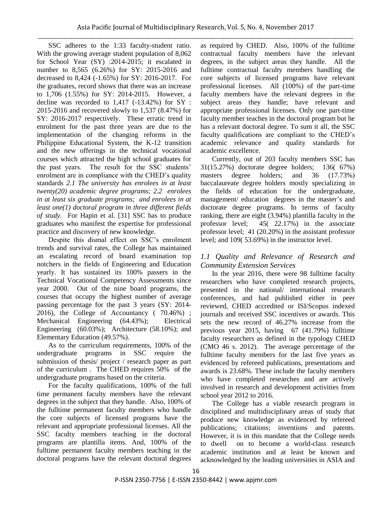SSC adheres to the 1:33 faculty-student ratio. With the growing average student population of 8,062 for School Year (SY) :2014-2015; it escalated in number to 8,565 (6.26%) for SY: 2015-2016 and decreased to 8,424 (-1.65%) for SY: 2016-2017. For the graduates, record shows that there was an increase to 1,706 (1.55%) for SY: 2014-2015. However, a decline was recorded to 1,417 (-13.42%) for SY : 2015-2016 and recovered slowly to 1,537 (8.47%) for SY: 2016-2017 respectively. These erratic trend in enrolment for the past three years are due to the implementation of the changing reforms in the Philippine Educational System, the K-12 transition and the new offerings in the technical vocational courses which attracted the high school graduates for the past years. The result for the SSC students' enrolment are in compliance with the CHED's quality standards *2.1 The university has enrolees in at least twenty(20) academic degree programs; 2.2 enrolees in at least six graduate programs; and enrolees in at least one(1) doctoral program in three different fields of study.* For Hapin et al. [31] SSC has to produce graduates who manifest the expertise for professional practice and discovery of new knowledge.

Despite this dismal effect on SSC's enrolment trends and survival rates, the College has maintained an escalating record of board examination top notchers in the fields of Engineering and Education yearly. It has sustained its 100% passers in the Technical Vocational Competency Assessments since year 2000. Out of the nine board programs, the courses that occupy the highest number of average passing percentage for the past 3 years (SY: 2014- 2016), the College of Accountancy ( 70.46%) ; Mechanical Engineering (64.43%); Electrical Engineering (60.03%); Architecture (58.10%); and Elementary Education (49.57%).

As to the curriculum requirements, 100% of the undergraduate programs in SSC require the submission of thesis/ project / research paper as part of the curriculum . The CHED requires 50% of the undergraduate programs based on the criteria.

For the faculty qualifications, 100% of the full time permanent faculty members have the relevant degrees in the subject that they handle. Also, 100% of the fulltime permanent faculty members who handle the core subjects of licensed programs have the relevant and appropriate professional licenses. All the SSC faculty members teaching in the doctoral programs are plantilla items. And, 100% of the fulltime permanent faculty members teaching in the doctoral programs have the relevant doctoral degrees as required by CHED. Also, 100% of the fulltime contractual faculty members have the relevant degrees, in the subject areas they handle. All the fulltime contractual faculty members handling the core subjects of licensed programs have relevant professional licenses. All (100%) of the part-time faculty members have the relevant degrees in the subject areas they handle; have relevant and appropriate professional licenses. Only one part-time faculty member teaches in the doctoral program but he has a relevant doctoral degree. To sum it all, the SSC faculty qualifications are compliant to the CHED's academic relevance and quality standards for academic excellence.

Currently, out of 203 faculty members SSC has 31(15.27%) doctorate degree holders; 136( 67%) masters degree holders; and 36 (17.73%) baccalaureate degree holders mostly specializing in the fields of education for the undergraduate, management/ education degrees in the master's and doctorate degree programs. In terms of faculty ranking, there are eight (3.94%) plantilla faculty in the professor level; 45( 22.17%) in the associate professor level; 41 (20.20%) in the assistant professor level; and 109( 53.69%) in the instructor level.

# *1.1 Quality and Relevance of Research and Community Extension Services*

In the year 2016, there were 98 fulltime faculty researchers who have completed research projects, presented in the national/ international research conferences, and had published either in peer reviewed, CHED accredited or ISI/Scopus indexed journals and received SSC incentives or awards. This sets the new record of 46.27% increase from the previous year 2015, having 67 (41.79%) fulltime faculty researchers as defined in the typology CHED (CMO 46 s. 2012). The average percentage of the fulltime faculty members for the last five years as evidenced by refereed publications, presentations and awards is 23.68%. These include the faculty members who have completed researches and are actively involved in research and development activities from school year 2012 to 2016.

The College has a viable research program in disciplined and multidisciplinary areas of study that produce new knowledge as evidenced by refereed publications; citations; inventions and patents. However, it is in this mandate that the College needs to dwell on to become a world-class research academic institution and at least be known and acknowledged by the leading universities in ASIA and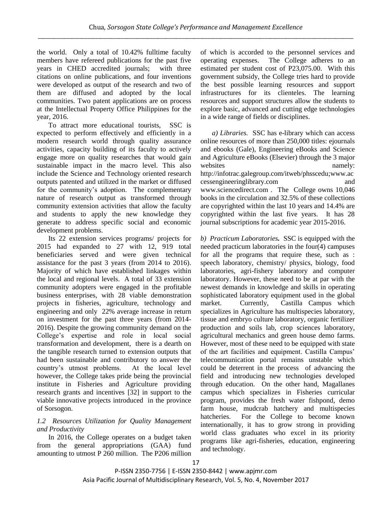the world. Only a total of 10.42% fulltime faculty members have refereed publications for the past five years in CHED accredited journals; with three citations on online publications, and four inventions were developed as output of the research and two of them are diffused and adopted by the local communities. Two patent applications are on process at the Intellectual Property Office Philippines for the year, 2016.

To attract more educational tourists, SSC is expected to perform effectively and efficiently in a modern research world through quality assurance activities, capacity building of its faculty to actively engage more on quality researches that would gain sustainable impact in the macro level. This also include the Science and Technology oriented research outputs patented and utilized in the market or diffused for the community's adoption. The complementary nature of research output as transformed through community extension activities that allow the faculty and students to apply the new knowledge they generate to address specific social and economic development problems.

Its 22 extension services programs/ projects for 2015 had expanded to 27 with 12, 919 total beneficiaries served and were given technical assistance for the past 3 years (from 2014 to 2016). Majority of which have established linkages within the local and regional levels. A total of 33 extension community adopters were engaged in the profitable business enterprises, with 28 viable demonstration projects in fisheries, agriculture, technology and engineering and only 22% average increase in return on investment for the past three years (from 2014- 2016). Despite the growing community demand on the College's expertise and role in local social transformation and development, there is a dearth on the tangible research turned to extension outputs that had been sustainable and contributory to answer the country's utmost problems. At the local level however, the College takes pride being the provincial institute in Fisheries and Agriculture providing research grants and incentives [32] in support to the viable innovative projects introduced in the province of Sorsogon.

# *1.2 Resources Utilization for Quality Management and Productivity*

In 2016, the College operates on a budget taken from the general appropriations (GAA) fund amounting to utmost P 260 million. The P206 million of which is accorded to the personnel services and operating expenses. The College adheres to an estimated per student cost of P23,075.00. With this government subsidy, the College tries hard to provide the best possible learning resources and support infrastructures for its clienteles. The learning resources and support structures allow the students to explore basic, advanced and cutting edge technologies in a wide range of fields or disciplines.

*a) Libraries.* SSC has e-library which can access online resources of more than 250,000 titles: ejournals and ebooks (Gale), Engineering eBooks and Science and Agriculture eBooks (Elsevier) through the 3 major websites namely: http://infotrac.galegroup.com/itweb/phsscedu;www.ac cessengineeringlibrary.com and www.sciencedirect.com . The College owns 10,046 books in the circulation and 32.5% of these collections are copyrighted within the last 10 years and 14.4% are copyrighted within the last five years. It has 28 journal subscriptions for academic year 2015-2016.

*b) Practicum Laboratories.* SSC is equipped with the needed practicum laboratories in the four(4) campuses for all the programs that require these, such as : speech laboratory, chemistry/ physics, biology, food laboratories, agri-fishery laboratory and computer laboratory. However, these need to be at par with the newest demands in knowledge and skills in operating sophisticated laboratory equipment used in the global market. Currently, Castilla Campus which specializes in Agriculture has multispecies laboratory, tissue and embryo culture laboratory, organic fertilizer production and soils lab, crop sciences laboratory, agricultural mechanics and green house demo farms. However, most of these need to be equipped with state of the art facilities and equipment. Castilla Campus' telecommunication portal remains unstable which could be deterrent in the process of advancing the field and introducing new technologies developed through education. On the other hand, Magallanes campus which specializes in Fisheries curricular program, provides the fresh water fishpond, demo farm house, mudcrab hatchery and multispecies hatcheries. For the College to become known internationally, it has to grow strong in providing world class graduates who excel in its priority programs like agri-fisheries, education, engineering and technology.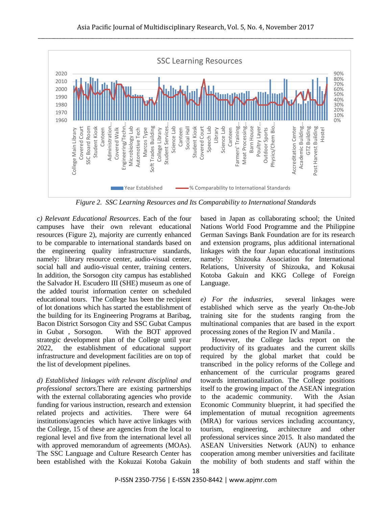

*Figure 2. SSC Learning Resources and Its Comparability to International Standards*

*c) Relevant Educational Resources*. Each of the four campuses have their own relevant educational resources (Figure 2), majority are currently enhanced to be comparable to international standards based on the engineering quality infrastructure standards, namely: library resource center, audio-visual center, social hall and audio-visual center, training centers. In addition, the Sorsogon city campus has established the Salvador H. Escudero III (SHE) museum as one of the added tourist information center on scheduled educational tours. The College has been the recipient of lot donations which has started the establishment of the building for its Engineering Programs at Baribag, Bacon District Sorsogon City and SSC Gubat Campus in Gubat , Sorsogon. With the BOT approved strategic development plan of the College until year 2022, the establishment of educational support infrastructure and development facilities are on top of the list of development pipelines.

*d) Established linkages with relevant disciplinal and professional sectors.*There are existing partnerships with the external collaborating agencies who provide funding for various instruction, research and extension related projects and activities. There were 64 institutions/agencies which have active linkages with the College, 15 of these are agencies from the local to regional level and five from the international level all with approved memorandum of agreements (MOAs). The SSC Language and Culture Research Center has been established with the Kokuzai Kotoba Gakuin based in Japan as collaborating school; the United Nations World Food Programme and the Philippine German Savings Bank Foundation are for its research and extension programs, plus additional international linkages with the four Japan educational institutions namely: Shizouka Association for International Relations, University of Shizouka, and Kokusai Kotoba Gakuin and KKG College of Foreign Language.

*e) For the industries*, several linkages were established which serve as the yearly On-the-Job training site for the students ranging from the multinational companies that are based in the export processing zones of the Region IV and Manila .

However, the College lacks report on the productivity of its graduates and the current skills required by the global market that could be transcribed in the policy reforms of the College and enhancement of the curricular programs geared towards internationalization. The College positions itself to the growing impact of the ASEAN integration to the academic community. With the Asian Economic Community blueprint, it had specified the implementation of mutual recognition agreements (MRA) for various services including accountancy, tourism, engineering, architecture and other professional services since 2015. It also mandated the ASEAN Universities Network (AUN) to enhance cooperation among member universities and facilitate the mobility of both students and staff within the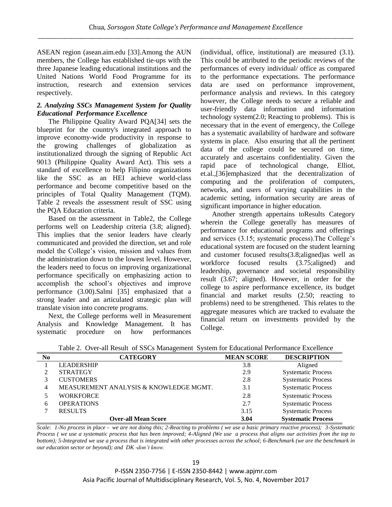ASEAN region (asean.aim.edu [33].Among the AUN members, the College has established tie-ups with the three Japanese leading educational institutions and the United Nations World Food Programme for its instruction, research and extension services respectively.

# *2. Analyzing SSCs Management System for Quality Educational Performance Excellence*

The Philippine Quality Award PQA[34] sets the blueprint for the country's integrated approach to improve economy-wide productivity in response to the growing challenges of globalization as institutionalized through the signing of [Republic Act](http://www.pqa.org.ph/republic-act.php)  [9013](http://www.pqa.org.ph/republic-act.php) (Philippine Quality Award Act). This sets a standard of excellence to help Filipino organizations like the SSC as an HEI achieve world-class performance and become competitive based on the principles of Total Quality Management (TQM). Table 2 reveals the assessment result of SSC using the PQA Education criteria.

Based on the assessment in Table2, the College performs well on Leadership criteria (3.8; aligned). This implies that the senior leaders have clearly communicated and provided the direction, set and role model the College's vision, mission and values from the administration down to the lowest level. However, the leaders need to focus on improving organizational performance specifically on emphasizing action to accomplish the school's objectives and improve performance (3.00).Salmi [35] emphasized that a strong leader and an articulated strategic plan will translate vision into concrete programs.

Next, the College performs well in Measurement Analysis and Knowledge Management. It has systematic procedure on how performances (individual, office, institutional) are measured (3.1). This could be attributed to the periodic reviews of the performances of every individual/ office as compared to the performance expectations. The performance data are used on performance improvement, performance analysis and reviews. In this category however, the College needs to secure a reliable and user-friendly data information and information technology system(2.0; Reacting to problems). This is necessary that in the event of emergency, the College has a systematic availability of hardware and software systems in place. Also ensuring that all the pertinent data of the college could be secured on time, accurately and ascertains confidentiality. Given the rapid pace of technological change, Elliot, et.al.,[36]emphasized that the decentralization of computing and the proliferation of computers, networks, and users of varying capabilities in the academic setting, information security are areas of significant importance in higher education.

Another strength appertains toResults Category wherein the College generally has measures of performance for educational programs and offerings and services (3.15; systematic process).The College's educational system are focused on the student learning and customer focused results(3.8;aligned)as well as workforce focused results (3.75;aligned) and leadership, governance and societal responsibility result (3.67; aligned). However, in order for the college to aspire performance excellence, its budget financial and market results (2.50; reacting to problems) need to be strengthened. This relates to the aggregate measures which are tracked to evaluate the financial return on investments provided by the College.

| N <sub>0</sub> | <b>CATEGORY</b>                        | <b>MEAN SCORE</b> | <b>DESCRIPTION</b>        |
|----------------|----------------------------------------|-------------------|---------------------------|
|                | <b>LEADERSHIP</b>                      | 3.8               | Aligned                   |
|                | <b>STRATEGY</b>                        | 2.9               | <b>Systematic Process</b> |
|                | <b>CUSTOMERS</b>                       | 2.8               | <b>Systematic Process</b> |
|                | MEASUREMENT ANALYSIS & KNOWLEDGE MGMT. | 3.1               | <b>Systematic Process</b> |
|                | <b>WORKFORCE</b>                       | 2.8               | <b>Systematic Process</b> |
| 6              | <b>OPERATIONS</b>                      | 2.7               | <b>Systematic Process</b> |
|                | <b>RESULTS</b>                         | 3.15              | <b>Systematic Process</b> |
|                | <b>Over-all Mean Score</b>             | 3.04              | <b>Systematic Process</b> |

Table 2. Over-all Result of SSCs Management System for Educational Performance Excellence

*Scale: 1-No process in place - we are not doing this; 2-Reacting to problems ( we use a basic primary reactive process); 3-Systematic Process ( we use a systematic process that has been improved; 4-Aligned (We use a process that aligns our activities from the top to bottom); 5-Integrated we use a process that is integrated with other processes across the school; 6-Benchmark (we are the benchmark in our education sector or beyond); and DK -don't know.*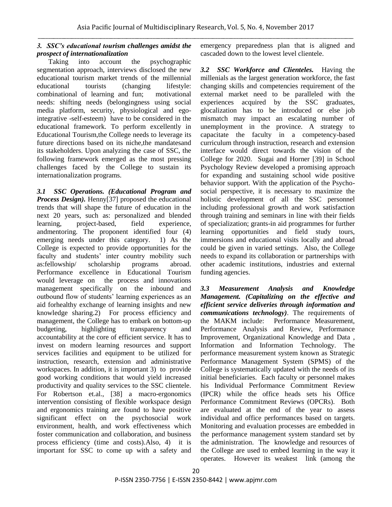# *3. SSC's educational tourism challenges amidst the prospect of internationalization*

Taking into account the psychographic segmentation approach, interviews disclosed the new educational tourism market trends of the millennial educational tourists (changing lifestyle: combinational of learning and fun; motivational needs: shifting needs (belongingness using social media platform, security, physiological and egointegrative -self-esteem) have to be considered in the educational framework. To perform excellently in Educational Tourism,the College needs to leverage its future directions based on its niche,the mandatesand its stakeholders. Upon analyzing the case of SSC, the following framework emerged as the most pressing challenges faced by the College to sustain its internationalization programs.

*3.1 SSC Operations. (Educational Program and Process Design).* Henny[37] proposed the educational trends that will shape the future of education in the next 20 years, such as: personalized and blended learning, project-based, field experience, andmentoring. The proponent identified four (4) emerging needs under this category. 1) As the College is expected to provide opportunities for the faculty and students' inter country mobility such as:fellowship/ scholarship programs abroad. Performance excellence in Educational Tourism would leverage on the process and innovations management specifically on the inbound and outbound flow of students' learning experiences as an aid forhealthy exchange of learning insights and new knowledge sharing.2) For process efficiency and management, the College has to embark on bottom-up budgeting, highlighting transparency and accountability at the core of efficient service. It has to invest on modern learning resources and support services facilities and equipment to be utilized for instruction, research, extension and administrative workspaces. In addition, it is important 3) to provide good working conditions that would yield increased productivity and quality services to the SSC clientele. For Robertson et.al., [38] a macro-ergonomics intervention consisting of flexible workspace design and ergonomics training are found to have positive significant effect on the psychosocial work environment, health, and work effectiveness which foster communication and collaboration, and business process efficiency (time and costs).Also, 4) it is important for SSC to come up with a safety and

emergency preparedness plan that is aligned and cascaded down to the lowest level clientele.

*3.2 SSC Workforce and Clienteles.* Having the millenials as the largest generation workforce, the fast changing skills and competencies requirement of the external market need to be paralleled with the experiences acquired by the SSC graduates, glocalization has to be introduced or else job mismatch may impact an escalating number of unemployment in the province. A strategy to capacitate the faculty in a competency-based curriculum through instruction, research and extension interface would direct towards the vision of the College for 2020. Sugai and Horner [39] in School Psychology Review developed a promising approach for expanding and sustaining school wide positive behavior support. With the application of the Psychosocial perspective, it is necessary to maximize the holistic development of all the SSC personnel including professional growth and work satisfaction through training and seminars in line with their fields of specialization; grants-in aid programmes for further learning opportunities and field study tours, immersions and educational visits locally and abroad could be given in varied settings. Also, the College needs to expand its collaboration or partnerships with other academic institutions, industries and external funding agencies.

*3.3 Measurement Analysis and Knowledge Management. (Capitalizing on the effective and efficient service deliveries through information and communications technology)*. The requirements of the MAKM include: Performance Measurement, Performance Analysis and Review, Performance Improvement, Organizational Knowledge and Data , Information and Information Technology. The performance measurement system known as Strategic Performance Management System (SPMS) of the College is systematically updated with the needs of its initial beneficiaries. Each faculty or personnel makes his Individual Performance Commitment Review (IPCR) while the office heads sets his Office Performance Commitment Reviews (OPCRs). Both are evaluated at the end of the year to assess individual and office performances based on targets. Monitoring and evaluation processes are embedded in the performance management system standard set by the administration. The knowledge and resources of the College are used to embed learning in the way it operates. However its weakest link (among the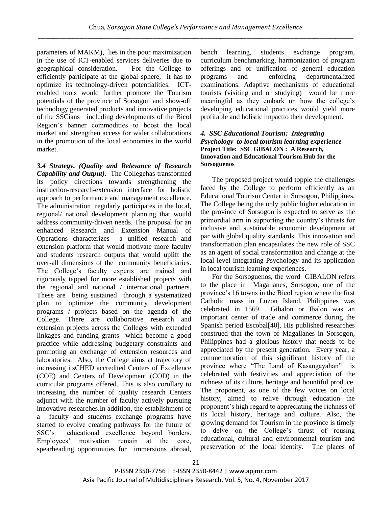parameters of MAKM), lies in the poor maximization in the use of ICT-enabled services deliveries due to geographical consideration. For the College to efficiently participate at the global sphere, it has to optimize its technology-driven potentialities. ICTenabled tools would further promote the Tourism potentials of the province of Sorsogon and show-off technology generated products and innovative projects of the SSCians including developments of the Bicol Region's banner commodities to boost the local market and strengthen access for wider collaborations in the promotion of the local economies in the world market.

*3.4 Strategy. (Quality and Relevance of Research Capability and Output).* The Collegehas transformed its policy directions towards strengthening the instruction-research-extension interface for holistic approach to performance and management excellence. The administration regularly participates in the local, regional/ national development planning that would address community-driven needs. The proposal for an enhanced Research and Extension Manual of Operations characterizes a unified research and extension platform that would motivate more faculty and students research outputs that would uplift the over-all dimensions of the community beneficiaries. The College's faculty experts are trained and rigorously tapped for more established projects with the regional and national / international partners. These are being sustained through a systematized plan to optimize the community development programs / projects based on the agenda of the College. There are collaborative research and extension projects across the Colleges with extended linkages and funding grants which become a good practice while addressing budgetary constraints and promoting an exchange of extension resources and laboratories. Also, the College aims at trajectory of increasing itsCHED accredited Centers of Excellence (COE) and Centers of Development (COD) in the curricular programs offered. This is also corollary to increasing the number of quality research Centers adjunct with the number of faculty actively pursuing innovative researches**.**In addition, the establishment of a faculty and students exchange programs have started to evolve creating pathways for the future of SSC's educational excellence beyond borders. Employees' motivation remain at the core, spearheading opportunities for immersions abroad,

bench learning, students exchange program, curriculum benchmarking, harmonization of program offerings and or unification of general education programs and enforcing departmentalized examinations. Adaptive mechanisms of educational tourists (visiting and or studying) would be more meaningful as they embark on how the college's developing educational practices would yield more profitable and holistic impactto their development.

### *4. SSC Educational Tourism: Integrating Psychology to local tourism learning experience*  **Project Title: SSC GIBALON : A Research, Innovation and Educational Tourism Hub for the Sorsoguenos**

The proposed project would topple the challenges faced by the College to perform efficiently as an Educational Tourism Center in Sorsogon, Philippines. The College being the only public higher education in the province of Sorsogon is expected to serve as the primordial arm in supporting the country's thrusts for inclusive and sustainable economic development at par with global quality standards. This innovation and transformation plan encapsulates the new role of SSC as an agent of social transformation and change at the local level integrating Psychology and its application in local tourism learning experiences.

For the Sorsoguenos, the word GIBALON refers to the place in Magallanes, Sorsogon, one of the province's 16 towns in the Bicol region where the first Catholic mass in Luzon Island, Philippines was celebrated in 1569. Gibalon or Ibalon was an important center of trade and commerce during the Spanish period Escobal[40]. His published researches construed that the town of Magallanes in Sorsogon, Philippines had a glorious history that needs to be appreciated by the present generation. Every year, a commemoration of this significant history of the province where "The Land of Kasangayahan" is celebrated with festivities and appreciation of the richness of its culture, heritage and bountiful produce. The proponent, as one of the few voices on local history, aimed to relive through education the proponent's high regard to appreciating the richness of its local history, heritage and culture. Also, the growing demand for Tourism in the province is timely to delve on the College's thrust of rousing educational, cultural and environmental tourism and preservation of the local identity. The places of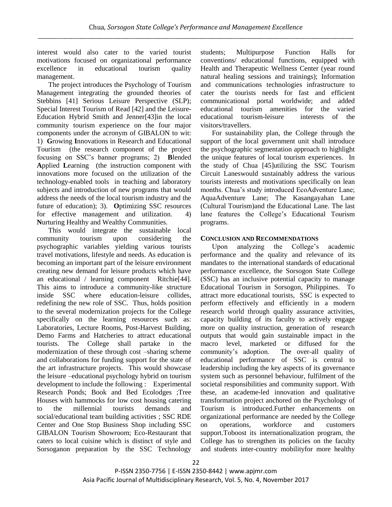interest would also cater to the varied tourist motivations focused on organizational performance excellence in educational tourism quality management.

The project introduces the Psychology of Tourism Management integrating the grounded theories of Stebbins [41] Serious Leisure Perspective (SLP); Special Interest Tourism of Read [42] and the Leisure-Education Hybrid Smith and Jenner[43]in the local community tourism experience on the four major components under the acronym of GIBALON to wit: 1) **G**rowing **I**nnovations in Research and Educational Tourism (the research component of the project focusing on SSC's banner programs; 2) **B**lended **A**pplied **L**earning (the instruction component with innovations more focused on the utilization of the technology-enabled tools in teaching and laboratory subjects and introduction of new programs that would address the needs of the local tourism industry and the future of education); 3). **O**ptimizing SSC resources for effective management and utilization. 4) **N**urturing Healthy and Wealthy Communities.

This would integrate the sustainable local community tourism upon considering the psychographic variables yielding various tourists travel motivations, lifestyle and needs. As education is becoming an important part of the leisure environment creating new demand for leisure products which have an educational / learning component Ritchie[44]. This aims to introduce a community-like structure inside SSC where education-leisure collides, redefining the new role of SSC. Thus, holds position to the several modernization projects for the College specifically on the learning resources such as: Laboratories, Lecture Rooms, Post-Harvest Building, Demo Farms and Hatcheries to attract educational tourists. The College shall partake in the modernization of these through cost –sharing scheme and collaborations for funding support for the state of the art infrastructure projects. This would showcase the leisure –educational psychology hybrid on tourism development to include the following : Experimental Research Ponds; Book and Bed Ecolodges ;Tree Houses with hammocks for low cost housing catering to the millennial tourists demands and social/educational team building activities ; SSC RDE Center and One Stop Business Shop including SSC GIBALON Tourism Showroom; Eco-Restaurant that caters to local cuisine which is distinct of style and Sorsoganon preparation by the SSC Technology

students; Multipurpose Function Halls for conventions/ educational functions, equipped with Health and Therapeutic Wellness Center (year round natural healing sessions and trainings); Information and communications technologies infrastructure to cater the tourists needs for fast and efficient communicational portal worldwide; and added educational tourism amenities for the varied educational tourism-leisure interests of the visitors/travellers.

For sustainability plan, the College through the support of the local government unit shall introduce the psychographic segmentation approach to highlight the unique features of local tourism experiences. In the study of Chua [45]utilizing the SSC Tourism Circuit Laneswould sustainably address the various tourists interests and motivations specifically on lean months. Chua's study introduced EcoAdventure Lane; AquaAdventure Lane; The Kasangayahan Lane (Cultural Tourism)and the Educational Lane. The last lane features the College's Educational Tourism programs.

# **CONCLUSION AND RECOMMENDATIONS**

Upon analyzing the College's academic performance and the quality and relevance of its mandates to the international standards of educational performance excellence, the Sorsogon State College (SSC) has an inclusive potential capacity to manage Educational Tourism in Sorsogon, Philippines. To attract more educational tourists, SSC is expected to perform effectively and efficiently in a modern research world through quality assurance activities, capacity building of its faculty to actively engage more on quality instruction, generation of research outputs that would gain sustainable impact in the macro level, marketed or diffused for the community's adoption. The over-all quality of educational performance of SSC is central to leadership including the key aspects of its governance system such as personnel behaviour, fulfilment of the societal responsibilities and community support. With these, an academe-led innovation and qualitative transformation project anchored on the Psychology of Tourism is introduced.Further enhancements on organizational performance are needed by the College on operations, workforce and customers support.Toboost its internationalization program, the College has to strengthen its policies on the faculty and students inter-country mobilityfor more healthy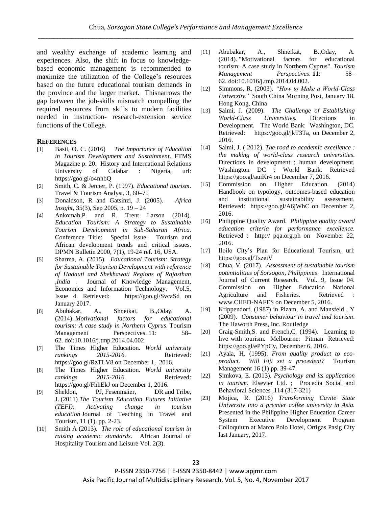and wealthy exchange of academic learning and experiences. Also, the shift in focus to knowledgebased economic management is recommended to maximize the utilization of the College's resources based on the future educational tourism demands in the province and the larger market. Thisnarrows the gap between the job-skills mismatch compelling the required resources from skills to modern facilities needed in instruction- research-extension service functions of the College.

#### **REFERENCES**

- [1] Basil, O. C. (2016) *The Importance of Education in Tourism Development and Sustainment*. FTMS Magazine p. 20. History and International Relations University of Calabar : Nigeria, url: https://goo.gl/o4nhbQ
- [2] Smith, C. & Jenner, P. (1997). *Educational tourism*. Travel & Tourism Analyst, 3, 60–75
- [3] Donaldson, R and Gatsinzi, J. (2005). *[Africa](https://journals.co.za/content/journal/afrins)  [Insight](https://journals.co.za/content/journal/afrins)*, 35(3), Sep 2005, p. 19 – 24
- [4] Ankomah,P. and R. Trent Larson (2014). *Education Tourism: A Strategy to Sustainable Tourism Development in Sub-Saharan Africa*. Conference Title: Special issue: Tourism and African development trends and critical issues. DPMN Bulletin 2000, 7(1), 19-24 ref. 16, USA.
- [5] Sharma, A. (2015). *Educational Tourism: Strategy for Sustainable Tourism Development with reference of Hadauti and Shekhawati Regions of Rajasthan ,India* . Journal of Knowledge Management, Economics and Information Technology. Vol.5, Issue 4. Retrieved: https://goo.gl/SvcaSd on January 2017.
- [6] Abubakar, A., Shneikat, B.,Oday, A. (2014). *[Motivational factors for educational](http://www.sciencedirect.com/science/article/pii/S2211973614000191)  [tourism: A case study in Northern Cyprus.](http://www.sciencedirect.com/science/article/pii/S2211973614000191)* Tourism Management Perspectives. 11: 58– 62. [doi](https://en.wikipedia.org/wiki/Digital_object_identifier)[:10.1016/j.tmp.2014.04.002.](https://dx.doi.org/10.1016%2Fj.tmp.2014.04.002)
- [7] The Times Higher Education. *World university rankings* 2015-2016. Retrieved: https://goo.gl/RzTLV8 on December 1, 2016.
- [8] The Times Higher Education. *World university rankings* 2015-2016. Retrieved: https://goo.gl/FhhEkJ on December 1, 2016.
- [9] Sheldon, PJ, Fesenmaier, DR and Tribe, J. (2011) *The Tourism Education Futures Initiative (TEFI): Activating change in tourism education* Journal of Teaching in Travel and Tourism, 11 (1). pp. 2-23.
- [10] Smith A (2013). *The role of educational tourism in raising academic standards*. African Journal of Hospitality Tourism and Leisure Vol. 2(3).
- [11] Abubakar, A., Shneikat, B.,Oday, A. (2014). "Motivational factors for educational tourism: A case study in Northern Cyprus". *Tourism Management Perspectives*. **11**: 58– 62. [doi:](https://en.wikipedia.org/wiki/Digital_object_identifier)[10.1016/j.tmp.2014.04.002.](https://dx.doi.org/10.1016%2Fj.tmp.2014.04.002)
- [12] Simmons, R. (2003). *"How to Make a World-Class University."* South China Morning Post, January 18. Hong Kong, China
- [13] Salmi, J. (2009). *The Challenge of Establishing World-Class Universities.* Directions in Development. The World Bank: Washington, DC. Retrieved: https://goo.gl/jkT3Ta, on December 2, 2016.
- [14] Salmi, J. ( 2012). *The road to academic excellence : the making of world-class research universities*. Directions in development ; human development. Washington DC : World Bank. Retrieved https://goo.gl/auiKr4 on December 7, 2016.
- [15] Commission on Higher Education. (2014) Handbook on typology, outcomes-based education and institutional sustainability assessment. Retrieved: https://goo.gl/A6jWhC on December 2, 2016.
- [16] Philippine Quality Award. *Philippine quality award education criteria for performance excellence.* Retrieved : http:// pqa.org.ph on November 22, 2016.
- [17] Iloilo City's Plan for Educational Tourism, url: https://goo.gl/TszeiV
- [18] Chua, V. (2017). *Assessment of sustainable tourism potentialities of Sorsogon, Philippines*. International Journal of Current Research. Vol. 9, Issue 04. Commission on Higher Education National Agriculture and Fisheries. Retrieved : www.CHED-NAFES on December 5, 2016.
- [19] Krippendorf, (1987) in Pizam, A. and Mansfeld , Y (2009). *Consumer behaviour in travel and tourism*. The Haworth Press, Inc. Routledge
- [20] Craig-Smith, S. and French, C. (1994). Learning to live with tourism. Melbourne: Pitman Retrieved: https://goo.gl/ePYpCy, December 6, 2016.
- [21] Ayala, H. (1995). *From quality product to ecoproduct. Will Fiji set a precedent?* Tourism Management 16 (1) pp. 39-47.
- [22] Simkova, E. (2013). *Psychology and its application in tourism*. Elsevier Ltd. ; Procedia Social and Behavioral Sciences ,114 (317-321)
- [23] Mojica, R. (2016) *Transforming Cavite State University into a premier coffee university in Asia.* Presented in the Philippine Higher Education Career System Executive Development Program Colloquium at Marco Polo Hotel, Ortigas Pasig City last January, 2017.

P-ISSN 2350-7756 | E-ISSN 2350-8442 | www.apjmr.com Asia Pacific Journal of Multidisciplinary Research, Vol. 5, No. 4, November 2017